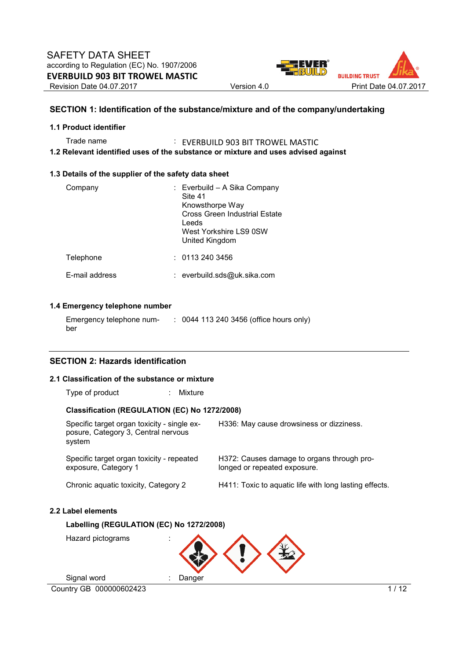

# **SECTION 1: Identification of the substance/mixture and of the company/undertaking**

### **1.1 Product identifier**

Trade name : EVERBUILD 903 BIT TROWEL MASTIC **1.2 Relevant identified uses of the substance or mixture and uses advised against** 

### **1.3 Details of the supplier of the safety data sheet**

| Company        | : Everbuild - A Sika Company<br>Site 41<br>Knowsthorpe Way<br>Cross Green Industrial Estate<br>Leeds<br>West Yorkshire LS9 0SW<br>United Kingdom |
|----------------|--------------------------------------------------------------------------------------------------------------------------------------------------|
| Telephone      | : 01132403456                                                                                                                                    |
| E-mail address | : everbuild.sds@uk.sika.com                                                                                                                      |

# **1.4 Emergency telephone number**

| Emergency telephone num- | : 0044 113 240 3456 (office hours only) |
|--------------------------|-----------------------------------------|
| ber                      |                                         |

# **SECTION 2: Hazards identification**

#### **2.1 Classification of the substance or mixture**

Type of product : Mixture

### **Classification (REGULATION (EC) No 1272/2008)**

| Specific target organ toxicity - single ex-<br>posure, Category 3, Central nervous<br>system | H336: May cause drowsiness or dizziness.                                   |
|----------------------------------------------------------------------------------------------|----------------------------------------------------------------------------|
| Specific target organ toxicity - repeated<br>exposure, Category 1                            | H372: Causes damage to organs through pro-<br>longed or repeated exposure. |
| Chronic aguatic toxicity, Category 2                                                         | H411: Toxic to aquatic life with long lasting effects.                     |
| Label elements                                                                               |                                                                            |
| Labelling (REGULATION (EC) No 1272/2008)                                                     |                                                                            |
| Hazard pictograms                                                                            |                                                                            |

Country GB 000000602423 1/12 Signal word : Danger

 $2.2$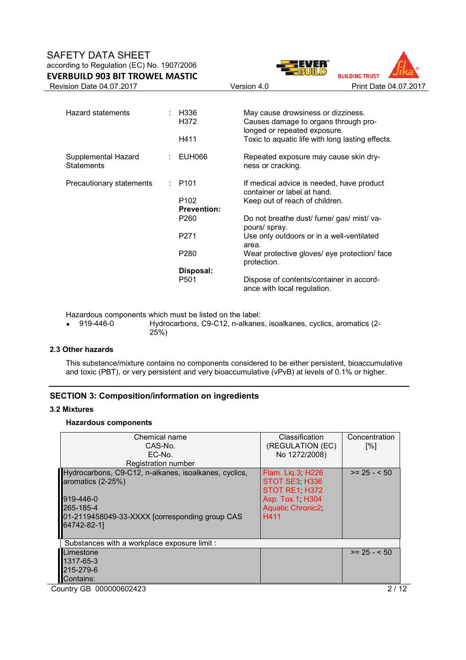



| H336<br>H372       | May cause drowsiness or dizziness.<br>Causes damage to organs through pro-<br>longed or repeated exposure. |
|--------------------|------------------------------------------------------------------------------------------------------------|
| H411               | Toxic to aquatic life with long lasting effects.                                                           |
| EUH066             | Repeated exposure may cause skin dry-<br>ness or cracking.                                                 |
| P <sub>101</sub>   | If medical advice is needed, have product<br>container or label at hand.                                   |
| P <sub>102</sub>   | Keep out of reach of children.                                                                             |
| <b>Prevention:</b> |                                                                                                            |
| P <sub>260</sub>   | Do not breathe dust/ fume/ gas/ mist/ va-<br>pours/ spray.                                                 |
| P271               | Use only outdoors or in a well-ventilated<br>area.                                                         |
| P280               | Wear protective gloves/ eye protection/ face<br>protection.                                                |
| Disposal:          |                                                                                                            |
| P <sub>501</sub>   | Dispose of contents/container in accord-<br>ance with local regulation.                                    |
|                    | t.                                                                                                         |

Hazardous components which must be listed on the label:<br>• 919-446-0 Hydrocarbons. C9-C12. n-alkanes

• 919-446-0 Hydrocarbons, C9-C12, n-alkanes, isoalkanes, cyclics, aromatics (2- 25%)

# **2.3 Other hazards**

This substance/mixture contains no components considered to be either persistent, bioaccumulative and toxic (PBT), or very persistent and very bioaccumulative (vPvB) at levels of 0.1% or higher.

# **SECTION 3: Composition/information on ingredients**

### **3.2 Mixtures**

#### **Hazardous components**

| Chemical name<br>CAS-No.<br>EC-No.<br><b>Registration number</b>                                                                                                      | Classification<br>(REGULATION (EC)<br>No 1272/2008)                                                        | Concentration<br>[%] |  |  |  |  |
|-----------------------------------------------------------------------------------------------------------------------------------------------------------------------|------------------------------------------------------------------------------------------------------------|----------------------|--|--|--|--|
| Hydrocarbons, C9-C12, n-alkanes, isoalkanes, cyclics,<br>aromatics (2-25%)<br>919-446-0<br>265-185-4<br>01-2119458049-33-XXXX [corresponding group CAS<br>64742-82-11 | Flam. Liq.3, H226<br>STOT SE3 H336<br>STOT RE1 H372<br>Asp. Tox.1, H304<br><b>Aquatic Chronic2</b><br>H411 | $>= 25 - 50$         |  |  |  |  |
| Substances with a workplace exposure limit :                                                                                                                          |                                                                                                            |                      |  |  |  |  |
| Limestone                                                                                                                                                             |                                                                                                            | $>= 25 - 50$         |  |  |  |  |
| 1317-65-3                                                                                                                                                             |                                                                                                            |                      |  |  |  |  |
| 215-279-6                                                                                                                                                             |                                                                                                            |                      |  |  |  |  |
| Contains:                                                                                                                                                             |                                                                                                            |                      |  |  |  |  |
| Country GB 000000602423<br>2 / 12                                                                                                                                     |                                                                                                            |                      |  |  |  |  |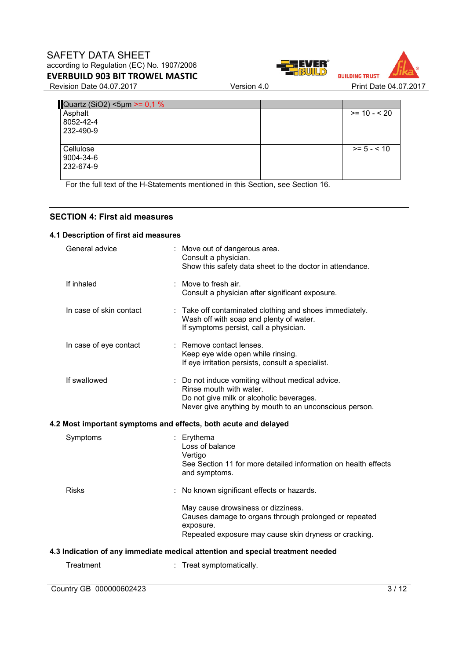



Quartz (SiO2) <5 $\mu$ m >= 0,1 % Asphalt

| Asphalt   |  | $>= 10 - 520$ |
|-----------|--|---------------|
| 8052-42-4 |  |               |
| 232-490-9 |  |               |
|           |  |               |
| Cellulose |  | $>= 5 - < 10$ |
| 9004-34-6 |  |               |
| 232-674-9 |  |               |
|           |  |               |

For the full text of the H-Statements mentioned in this Section, see Section 16.

# **SECTION 4: First aid measures**

### **4.1 Description of first aid measures**

| General advice          |   | : Move out of dangerous area.<br>Consult a physician.<br>Show this safety data sheet to the doctor in attendance.                                                                 |
|-------------------------|---|-----------------------------------------------------------------------------------------------------------------------------------------------------------------------------------|
| If inhaled              |   | : Move to fresh air.<br>Consult a physician after significant exposure.                                                                                                           |
| In case of skin contact |   | : Take off contaminated clothing and shoes immediately.<br>Wash off with soap and plenty of water.<br>If symptoms persist, call a physician.                                      |
| In case of eye contact  |   | : Remove contact lenses.<br>Keep eye wide open while rinsing.<br>If eye irritation persists, consult a specialist.                                                                |
| If swallowed            |   | : Do not induce vomiting without medical advice.<br>Rinse mouth with water.<br>Do not give milk or alcoholic beverages.<br>Never give anything by mouth to an unconscious person. |
|                         |   | 4.2 Most important symptoms and effects, both acute and delayed                                                                                                                   |
| Symptoms                |   | : Erythema<br>Loss of balance<br>Vertigo<br>See Section 11 for more detailed information on health effects<br>and symptoms.                                                       |
| <b>Risks</b>            |   | No known significant effects or hazards.                                                                                                                                          |
|                         |   | May cause drowsiness or dizziness.<br>Causes damage to organs through prolonged or repeated<br>exposure.<br>Repeated exposure may cause skin dryness or cracking.                 |
|                         |   | 4.3 Indication of any immediate medical attention and special treatment needed                                                                                                    |
| Treatment               | ÷ | Treat symptomatically.                                                                                                                                                            |
|                         |   |                                                                                                                                                                                   |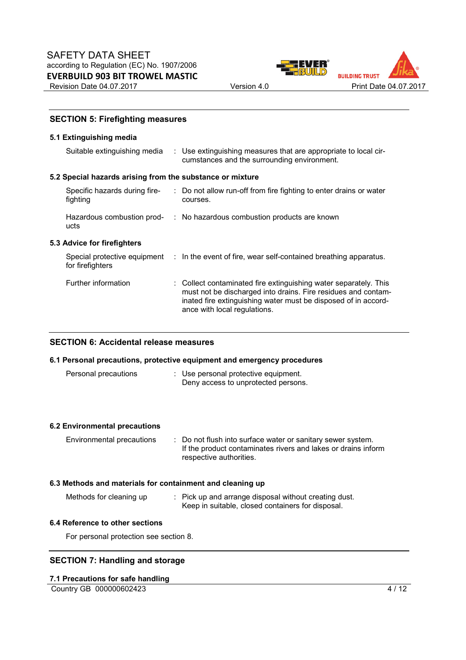

# **SECTION 5: Firefighting measures**

#### **5.1 Extinguishing media**

| Suitable extinguishing media                              |  | : Use extinguishing measures that are appropriate to local cir-<br>cumstances and the surrounding environment.                                                                                                                      |  |  |  |  |  |  |  |
|-----------------------------------------------------------|--|-------------------------------------------------------------------------------------------------------------------------------------------------------------------------------------------------------------------------------------|--|--|--|--|--|--|--|
| 5.2 Special hazards arising from the substance or mixture |  |                                                                                                                                                                                                                                     |  |  |  |  |  |  |  |
| Specific hazards during fire-<br>fighting                 |  | : Do not allow run-off from fire fighting to enter drains or water<br>courses.                                                                                                                                                      |  |  |  |  |  |  |  |
| ucts                                                      |  | Hazardous combustion prod- : No hazardous combustion products are known                                                                                                                                                             |  |  |  |  |  |  |  |
| 5.3 Advice for firefighters                               |  |                                                                                                                                                                                                                                     |  |  |  |  |  |  |  |
| for firefighters                                          |  | Special protective equipment : In the event of fire, wear self-contained breathing apparatus.                                                                                                                                       |  |  |  |  |  |  |  |
| Further information                                       |  | : Collect contaminated fire extinguishing water separately. This<br>must not be discharged into drains. Fire residues and contam-<br>inated fire extinguishing water must be disposed of in accord-<br>ance with local regulations. |  |  |  |  |  |  |  |

# **SECTION 6: Accidental release measures**

#### **6.1 Personal precautions, protective equipment and emergency procedures**

| Personal precautions | : Use personal protective equipment. |
|----------------------|--------------------------------------|
|                      | Deny access to unprotected persons.  |

#### **6.2 Environmental precautions**

| Environmental precautions | : Do not flush into surface water or sanitary sewer system.   |
|---------------------------|---------------------------------------------------------------|
|                           | If the product contaminates rivers and lakes or drains inform |
|                           | respective authorities.                                       |

#### **6.3 Methods and materials for containment and cleaning up**

Methods for cleaning up : Pick up and arrange disposal without creating dust. Keep in suitable, closed containers for disposal.

#### **6.4 Reference to other sections**

For personal protection see section 8.

### **SECTION 7: Handling and storage**

#### **7.1 Precautions for safe handling**

Country GB 000000602423 4/12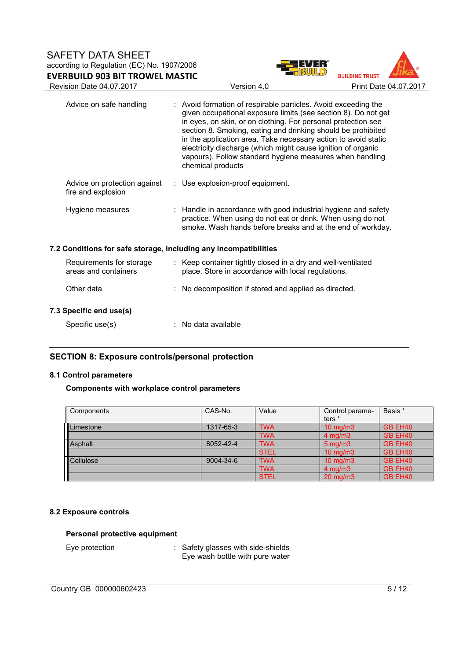



| Advice on safe handling                                          | : Avoid formation of respirable particles. Avoid exceeding the<br>given occupational exposure limits (see section 8). Do not get<br>in eyes, on skin, or on clothing. For personal protection see<br>section 8. Smoking, eating and drinking should be prohibited<br>in the application area. Take necessary action to avoid static<br>electricity discharge (which might cause ignition of organic<br>vapours). Follow standard hygiene measures when handling<br>chemical products |
|------------------------------------------------------------------|--------------------------------------------------------------------------------------------------------------------------------------------------------------------------------------------------------------------------------------------------------------------------------------------------------------------------------------------------------------------------------------------------------------------------------------------------------------------------------------|
| Advice on protection against<br>fire and explosion               | $\therefore$ Use explosion-proof equipment.                                                                                                                                                                                                                                                                                                                                                                                                                                          |
| Hygiene measures                                                 | : Handle in accordance with good industrial hygiene and safety<br>practice. When using do not eat or drink. When using do not<br>smoke. Wash hands before breaks and at the end of workday.                                                                                                                                                                                                                                                                                          |
| 7.2 Conditions for safe storage, including any incompatibilities |                                                                                                                                                                                                                                                                                                                                                                                                                                                                                      |
| Requirements for storage<br>areas and containers                 | : Keep container tightly closed in a dry and well-ventilated<br>place. Store in accordance with local regulations.                                                                                                                                                                                                                                                                                                                                                                   |
| Other data                                                       | : No decomposition if stored and applied as directed.                                                                                                                                                                                                                                                                                                                                                                                                                                |
| 7.3 Specific end use(s)                                          |                                                                                                                                                                                                                                                                                                                                                                                                                                                                                      |
| Specific use(s)                                                  | : No data available                                                                                                                                                                                                                                                                                                                                                                                                                                                                  |

# **SECTION 8: Exposure controls/personal protection**

# **8.1 Control parameters**

### **Components with workplace control parameters**

| Components | CAS-No.   | Value       | Control parame-     | Basis * |
|------------|-----------|-------------|---------------------|---------|
|            |           |             | ters <sup>*</sup>   |         |
| Limestone  | 1317-65-3 | <b>TWA</b>  | $10 \text{ mg/m}$   | GB EH40 |
|            |           | <b>TWA</b>  | $4$ mg/m $3$        | GB EH40 |
| Asphalt    | 8052-42-4 | <b>TWA</b>  | $5 \text{ mg/m}$    | GB EH40 |
|            |           | <b>STEL</b> | $10 \text{ mg/m}$   | GB EH40 |
| Cellulose  | 9004-34-6 | <b>TWA</b>  | $10 \text{ mg/m}$   | GB EH40 |
|            |           | <b>TWA</b>  | $4 \text{ ma/m}$ 3  | GB EH40 |
|            |           | <b>STEL</b> | $20 \text{ ma/m}$ 3 | GB EH40 |

# **8.2 Exposure controls**

### **Personal protective equipment**

Eye protection : Safety glasses with side-shields Eye wash bottle with pure water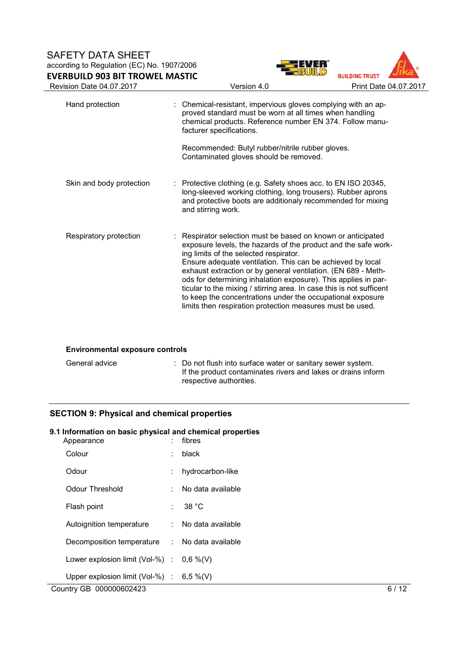



| Hand protection          | : Chemical-resistant, impervious gloves complying with an ap-<br>proved standard must be worn at all times when handling<br>chemical products. Reference number EN 374. Follow manu-<br>facturer specifications.                                                                                                                                                                                                                                                                                                                                                             |
|--------------------------|------------------------------------------------------------------------------------------------------------------------------------------------------------------------------------------------------------------------------------------------------------------------------------------------------------------------------------------------------------------------------------------------------------------------------------------------------------------------------------------------------------------------------------------------------------------------------|
|                          | Recommended: Butyl rubber/nitrile rubber gloves.<br>Contaminated gloves should be removed.                                                                                                                                                                                                                                                                                                                                                                                                                                                                                   |
| Skin and body protection | $\therefore$ Protective clothing (e.g. Safety shoes acc. to EN ISO 20345,<br>long-sleeved working clothing, long trousers). Rubber aprons<br>and protective boots are additionaly recommended for mixing<br>and stirring work.                                                                                                                                                                                                                                                                                                                                               |
| Respiratory protection   | : Respirator selection must be based on known or anticipated<br>exposure levels, the hazards of the product and the safe work-<br>ing limits of the selected respirator.<br>Ensure adequate ventilation. This can be achieved by local<br>exhaust extraction or by general ventilation. (EN 689 - Meth-<br>ods for determining inhalation exposure). This applies in par-<br>ticular to the mixing / stirring area. In case this is not sufficent<br>to keep the concentrations under the occupational exposure<br>limits then respiration protection measures must be used. |

#### **Environmental exposure controls**

General advice : Do not flush into surface water or sanitary sewer system. If the product contaminates rivers and lakes or drains inform respective authorities.

### **SECTION 9: Physical and chemical properties**

### **9.1 Information on basic physical and chemical properties**

| Appearance                                    | ÷             | fibres            |      |
|-----------------------------------------------|---------------|-------------------|------|
| Colour                                        | ÷             | black             |      |
| Odour                                         | ÷.            | hydrocarbon-like  |      |
| <b>Odour Threshold</b>                        | ÷.            | No data available |      |
| Flash point                                   |               | 38 °C             |      |
| Autoignition temperature                      | $\mathcal{L}$ | No data available |      |
| Decomposition temperature : No data available |               |                   |      |
| Lower explosion limit (Vol-%) : $0.6\%$ (V)   |               |                   |      |
| Upper explosion limit (Vol-%) : $6,5\%$ (V)   |               |                   |      |
| Country GB 000000602423                       |               |                   | 6/12 |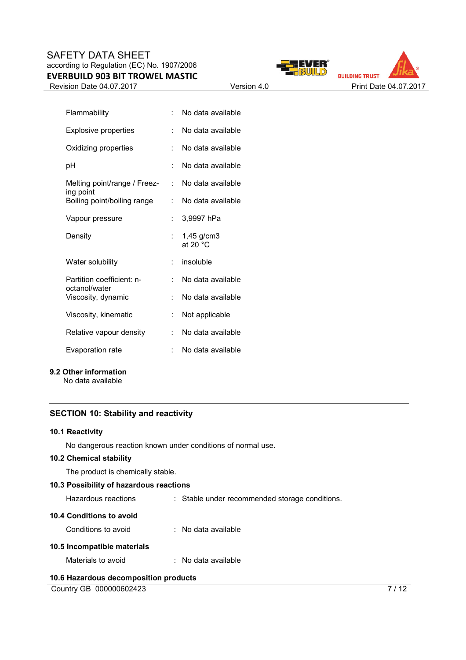Revision Date 04.07.2017 Version 4.0 Print Date 04.07.2017





| Flammability                               |    | No data available        |
|--------------------------------------------|----|--------------------------|
| <b>Explosive properties</b>                | ÷  | No data available        |
| Oxidizing properties                       | t  | No data available        |
| рH                                         | ÷  | No data available        |
| Melting point/range / Freez-<br>ing point  | t. | No data available        |
| Boiling point/boiling range                | t. | No data available        |
| Vapour pressure                            | t. | 3,9997 hPa               |
| Density                                    |    | 1,45 g/cm3<br>at 20 $°C$ |
| Water solubility                           | t  | insoluble                |
| Partition coefficient: n-<br>octanol/water |    | No data available        |
| Viscosity, dynamic                         | t  | No data available        |
| Viscosity, kinematic                       | t  | Not applicable           |
| Relative vapour density                    | t. | No data available        |
| Evaporation rate                           | ÷  | No data available        |
|                                            |    |                          |

# **9.2 Other information**

No data available

# **SECTION 10: Stability and reactivity**

#### **10.1 Reactivity**

No dangerous reaction known under conditions of normal use.

# **10.2 Chemical stability**

The product is chemically stable.

# **10.3 Possibility of hazardous reactions**

Hazardous reactions : Stable under recommended storage conditions.

## **10.4 Conditions to avoid**

| Conditions to avoid         |  | : No data available |
|-----------------------------|--|---------------------|
| 10.5 Incompatible materials |  |                     |

Materials to avoid : No data available

### **10.6 Hazardous decomposition products**

Country GB 000000602423 7/12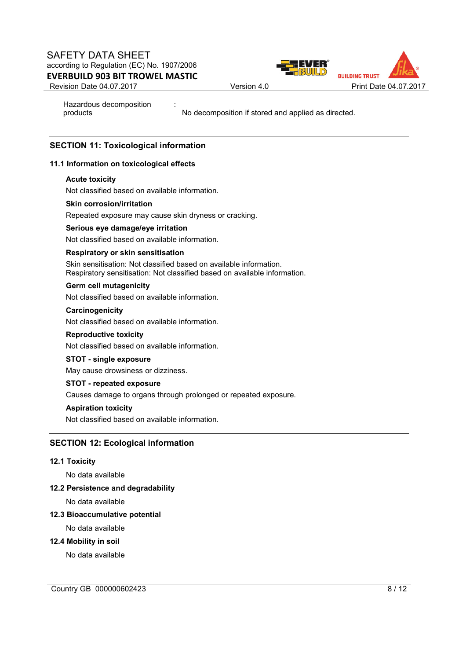

![](_page_7_Picture_2.jpeg)

Hazardous decomposition products

No decomposition if stored and applied as directed.

# **SECTION 11: Toxicological information**

# **11.1 Information on toxicological effects**

### **Acute toxicity**

Not classified based on available information.

### **Skin corrosion/irritation**

Repeated exposure may cause skin dryness or cracking.

:

### **Serious eye damage/eye irritation**

Not classified based on available information.

### **Respiratory or skin sensitisation**

Skin sensitisation: Not classified based on available information. Respiratory sensitisation: Not classified based on available information.

### **Germ cell mutagenicity**

Not classified based on available information.

### **Carcinogenicity**

Not classified based on available information.

#### **Reproductive toxicity**

Not classified based on available information.

### **STOT - single exposure**

May cause drowsiness or dizziness.

### **STOT - repeated exposure**

Causes damage to organs through prolonged or repeated exposure.

# **Aspiration toxicity**

Not classified based on available information.

# **SECTION 12: Ecological information**

### **12.1 Toxicity**

No data available

### **12.2 Persistence and degradability**

No data available

### **12.3 Bioaccumulative potential**

No data available

#### **12.4 Mobility in soil**

No data available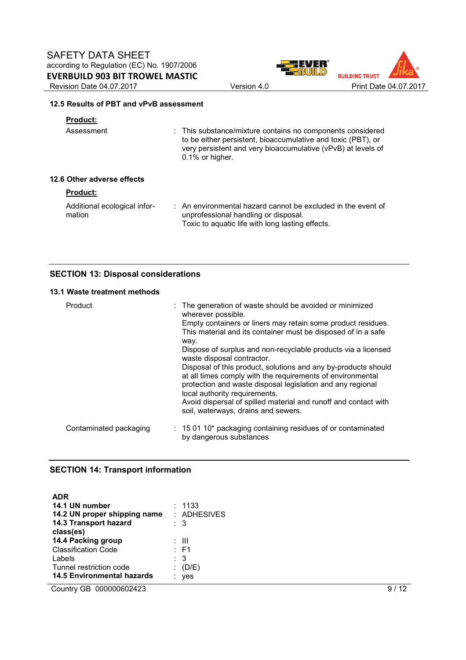![](_page_8_Picture_1.jpeg)

![](_page_8_Picture_2.jpeg)

### **12.5 Results of PBT and vPvB assessment**

# **Product:**

| Assessment                 | : This substance/mixture contains no components considered<br>to be either persistent, bioaccumulative and toxic (PBT), or<br>very persistent and very bioaccumulative (vPvB) at levels of<br>$0.1\%$ or higher. |
|----------------------------|------------------------------------------------------------------------------------------------------------------------------------------------------------------------------------------------------------------|
| 12.6 Other adverse effects |                                                                                                                                                                                                                  |

# **Product:**

| Additional ecological infor- | : An environmental hazard cannot be excluded in the event of |
|------------------------------|--------------------------------------------------------------|
| mation                       | unprofessional handling or disposal.                         |
|                              | Toxic to aquatic life with long lasting effects.             |

# **SECTION 13: Disposal considerations**

# **13.1 Waste treatment methods**

| Product                | : The generation of waste should be avoided or minimized<br>wherever possible.<br>Empty containers or liners may retain some product residues.<br>This material and its container must be disposed of in a safe<br>way.<br>Dispose of surplus and non-recyclable products via a licensed<br>waste disposal contractor.<br>Disposal of this product, solutions and any by-products should<br>at all times comply with the requirements of environmental<br>protection and waste disposal legislation and any regional<br>local authority requirements.<br>Avoid dispersal of spilled material and runoff and contact with<br>soil, waterways, drains and sewers. |
|------------------------|-----------------------------------------------------------------------------------------------------------------------------------------------------------------------------------------------------------------------------------------------------------------------------------------------------------------------------------------------------------------------------------------------------------------------------------------------------------------------------------------------------------------------------------------------------------------------------------------------------------------------------------------------------------------|
| Contaminated packaging | $: 150110*$ packaging containing residues of or contaminated<br>by dangerous substances                                                                                                                                                                                                                                                                                                                                                                                                                                                                                                                                                                         |

# **SECTION 14: Transport information**

| <b>ADR</b><br>14.1 UN number<br>14.2 UN proper shipping name<br>14.3 Transport hazard<br>class(es) | : 1133<br>$:$ ADHESIVES<br>: 3 |
|----------------------------------------------------------------------------------------------------|--------------------------------|
| 14.4 Packing group                                                                                 | : III                          |
| <b>Classification Code</b>                                                                         | : F1                           |
| Labels                                                                                             | $\therefore$ 3                 |
| Tunnel restriction code                                                                            | (D/E)                          |
| <b>14.5 Environmental hazards</b>                                                                  | ves                            |

Country GB 000000602423 9/12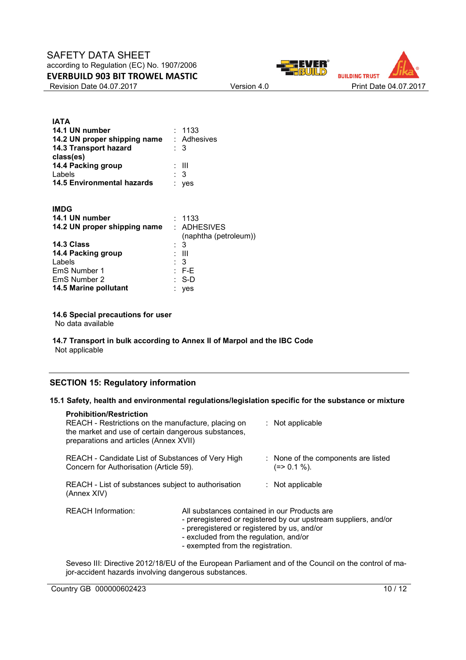Revision Date 04.07.2017 Version 4.0 Print Date 04.07.2017

![](_page_9_Picture_3.jpeg)

| <b>IATA</b><br>14.1 UN number<br>14.2 UN proper shipping name : Adhesives<br>14.3 Transport hazard<br>class(es) | : 1133<br>: 3       |
|-----------------------------------------------------------------------------------------------------------------|---------------------|
| 14.4 Packing group<br>Labels<br><b>14.5 Environmental hazards</b>                                               | : III<br>: 3<br>ves |
| <b>IMDG</b>                                                                                                     |                     |

| 14.1 UN number               | : 1133                |
|------------------------------|-----------------------|
| 14.2 UN proper shipping name | : ADHESIVES           |
|                              | (naphtha (petroleum)) |
| 14.3 Class                   | : 3                   |
| 14.4 Packing group           | : III                 |
| Labels                       | : 3                   |
| EmS Number 1                 | $E = FE$              |
| EmS Number 2                 | : S-D                 |
| 14.5 Marine pollutant        | yes                   |
|                              |                       |

### **14.6 Special precautions for user**

No data available

#### **14.7 Transport in bulk according to Annex II of Marpol and the IBC Code** Not applicable

### **SECTION 15: Regulatory information**

#### **15.1 Safety, health and environmental regulations/legislation specific for the substance or mixture**

| <b>Prohibition/Restriction</b><br>REACH - Restrictions on the manufacture, placing on<br>the market and use of certain dangerous substances,<br>preparations and articles (Annex XVII) |                                                                                                                                                                            |  | $:$ Not applicable                                              |
|----------------------------------------------------------------------------------------------------------------------------------------------------------------------------------------|----------------------------------------------------------------------------------------------------------------------------------------------------------------------------|--|-----------------------------------------------------------------|
| REACH - Candidate List of Substances of Very High<br>Concern for Authorisation (Article 59).                                                                                           |                                                                                                                                                                            |  | : None of the components are listed<br>$(=>0.1\%).$             |
| REACH - List of substances subject to authorisation<br>(Annex XIV)                                                                                                                     |                                                                                                                                                                            |  | $:$ Not applicable                                              |
| <b>REACH Information:</b>                                                                                                                                                              | All substances contained in our Products are<br>- preregistered or registered by us, and/or<br>- excluded from the regulation, and/or<br>- exempted from the registration. |  | - preregistered or registered by our upstream suppliers, and/or |

Seveso III: Directive 2012/18/EU of the European Parliament and of the Council on the control of major-accident hazards involving dangerous substances.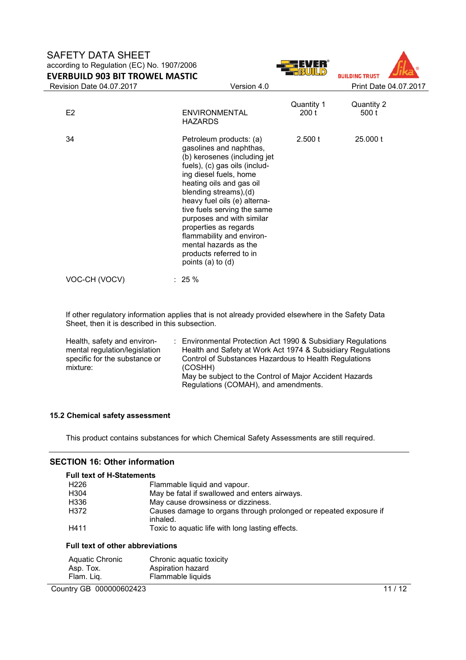![](_page_10_Picture_1.jpeg)

![](_page_10_Picture_2.jpeg)

If other regulatory information applies that is not already provided elsewhere in the Safety Data Sheet, then it is described in this subsection.

| Health, safety and environ-   | : Environmental Protection Act 1990 & Subsidiary Regulations |
|-------------------------------|--------------------------------------------------------------|
| mental regulation/legislation | Health and Safety at Work Act 1974 & Subsidiary Regulations  |
| specific for the substance or | Control of Substances Hazardous to Health Regulations        |
| mixture:                      | (COSHH)                                                      |
|                               | May be subject to the Control of Major Accident Hazards      |
|                               | Regulations (COMAH), and amendments.                         |

#### **15.2 Chemical safety assessment**

This product contains substances for which Chemical Safety Assessments are still required.

### **SECTION 16: Other information**

**Full text of H-Statements**  H226 Flammable liquid and vapour.<br>H304 **Flammable 19** May be fatal if swallowed and H304 May be fatal if swallowed and enters airways.<br>H336 May cause drowsiness or dizziness. H336 **May cause drowsiness or dizziness.**<br>H372 **H372** Causes damage to organs through power Causes damage to organs through prolonged or repeated exposure if inhaled. H411 Toxic to aquatic life with long lasting effects.

#### **Full text of other abbreviations**

| Aquatic Chronic | Chronic aquatic toxicity |
|-----------------|--------------------------|
| Asp. Tox.       | Aspiration hazard        |
| Flam. Liq.      | Flammable liquids        |

### Country GB 000000602423 11/12